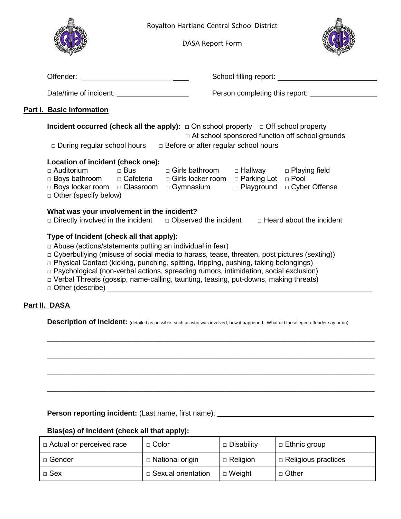|                                                                                                                                                     | Royalton Hartland Central School District<br><b>DASA Report Form</b>                                                                                                                                                                                                                                                                                                                                                                              |                              |  |  |
|-----------------------------------------------------------------------------------------------------------------------------------------------------|---------------------------------------------------------------------------------------------------------------------------------------------------------------------------------------------------------------------------------------------------------------------------------------------------------------------------------------------------------------------------------------------------------------------------------------------------|------------------------------|--|--|
|                                                                                                                                                     |                                                                                                                                                                                                                                                                                                                                                                                                                                                   |                              |  |  |
| Date/time of incident: _______________________                                                                                                      |                                                                                                                                                                                                                                                                                                                                                                                                                                                   |                              |  |  |
| <b>Part I. Basic Information</b>                                                                                                                    |                                                                                                                                                                                                                                                                                                                                                                                                                                                   |                              |  |  |
|                                                                                                                                                     | <b>Incident occurred (check all the apply):</b> $\Box$ On school property $\Box$ Off school property<br>□ At school sponsored function off school grounds<br>□ During regular school hours □ Before or after regular school hours                                                                                                                                                                                                                 |                              |  |  |
| Location of incident (check one):<br>$\Box$ Auditorium<br>$\Box$ Bus<br>$\Box$ Other (specify below)                                                | □ Girls bathroom   □ Hallway   □ Playing field<br>□ Boys bathroom □ Cafeteria □ Girls locker room □ Parking Lot □ Pool<br>□ Boys locker room □ Classroom □ Gymnasium                                                                                                                                                                                                                                                                              | □ Playground □ Cyber Offense |  |  |
| What was your involvement in the incident?<br>$\Box$ Directly involved in the incident $\Box$ Observed the incident $\Box$ Heard about the incident |                                                                                                                                                                                                                                                                                                                                                                                                                                                   |                              |  |  |
| Type of Incident (check all that apply):                                                                                                            | $\Box$ Abuse (actions/statements putting an individual in fear)<br>□ Cyberbullying (misuse of social media to harass, tease, threaten, post pictures (sexting))<br>□ Physical Contact (kicking, punching, spitting, tripping, pushing, taking belongings)<br>$\Box$ Psychological (non-verbal actions, spreading rumors, intimidation, social exclusion)<br>□ Verbal Threats (gossip, name-calling, taunting, teasing, put-downs, making threats) |                              |  |  |
| Part II. DASA                                                                                                                                       |                                                                                                                                                                                                                                                                                                                                                                                                                                                   |                              |  |  |

**Description of Incident:** (detailed as possible, such as who was involved, how it happened. What did the alleged offender say or do).

\_\_\_\_\_\_\_\_\_\_\_\_\_\_\_\_\_\_\_\_\_\_\_\_\_\_\_\_\_\_\_\_\_\_\_\_\_\_\_\_\_\_\_\_\_\_\_\_\_\_\_\_\_\_\_\_\_\_\_\_\_\_\_\_\_\_\_\_\_\_\_\_\_\_\_\_\_\_\_\_\_\_\_\_\_\_\_\_\_\_\_

\_\_\_\_\_\_\_\_\_\_\_\_\_\_\_\_\_\_\_\_\_\_\_\_\_\_\_\_\_\_\_\_\_\_\_\_\_\_\_\_\_\_\_\_\_\_\_\_\_\_\_\_\_\_\_\_\_\_\_\_\_\_\_\_\_\_\_\_\_\_\_\_\_\_\_\_\_\_\_\_\_\_\_\_\_\_\_\_\_\_\_

\_\_\_\_\_\_\_\_\_\_\_\_\_\_\_\_\_\_\_\_\_\_\_\_\_\_\_\_\_\_\_\_\_\_\_\_\_\_\_\_\_\_\_\_\_\_\_\_\_\_\_\_\_\_\_\_\_\_\_\_\_\_\_\_\_\_\_\_\_\_\_\_\_\_\_\_\_\_\_\_\_\_\_\_\_\_\_\_\_\_\_

\_\_\_\_\_\_\_\_\_\_\_\_\_\_\_\_\_\_\_\_\_\_\_\_\_\_\_\_\_\_\_\_\_\_\_\_\_\_\_\_\_\_\_\_\_\_\_\_\_\_\_\_\_\_\_\_\_\_\_\_\_\_\_\_\_\_\_\_\_\_\_\_\_\_\_\_\_\_\_\_\_\_\_\_\_\_\_\_\_\_\_

Person reporting incident: (Last name, first name): \_\_\_\_\_\_\_\_\_\_\_\_\_\_\_\_\_\_\_\_\_\_\_\_\_\_\_\_

## **Bias(es) of Incident (check all that apply):**

| □ Actual or perceived race | $\Box$ Color              | □ Disability    | $\Box$ Ethnic group        |
|----------------------------|---------------------------|-----------------|----------------------------|
| □ Gender                   | □ National origin         | $\Box$ Religion | $\Box$ Religious practices |
| $\Box$ Sex                 | $\Box$ Sexual orientation | $\Box$ Weight   | □ Other                    |